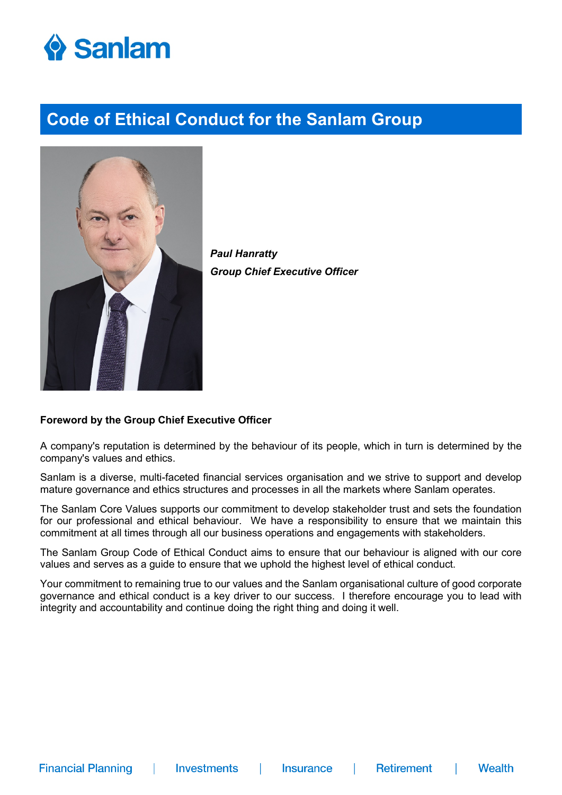



*Paul Hanratty Group Chief Executive Officer*

#### **Foreword by the Group Chief Executive Officer**

A company's reputation is determined by the behaviour of its people, which in turn is determined by the company's values and ethics.

Sanlam is a diverse, multi-faceted financial services organisation and we strive to support and develop mature governance and ethics structures and processes in all the markets where Sanlam operates.

The Sanlam Core Values supports our commitment to develop stakeholder trust and sets the foundation for our professional and ethical behaviour. We have a responsibility to ensure that we maintain this commitment at all times through all our business operations and engagements with stakeholders.

The Sanlam Group Code of Ethical Conduct aims to ensure that our behaviour is aligned with our core values and serves as a guide to ensure that we uphold the highest level of ethical conduct.

Your commitment to remaining true to our values and the Sanlam organisational culture of good corporate governance and ethical conduct is a key driver to our success. I therefore encourage you to lead with integrity and accountability and continue doing the right thing and doing it well.

 $\mathbb{R}^n$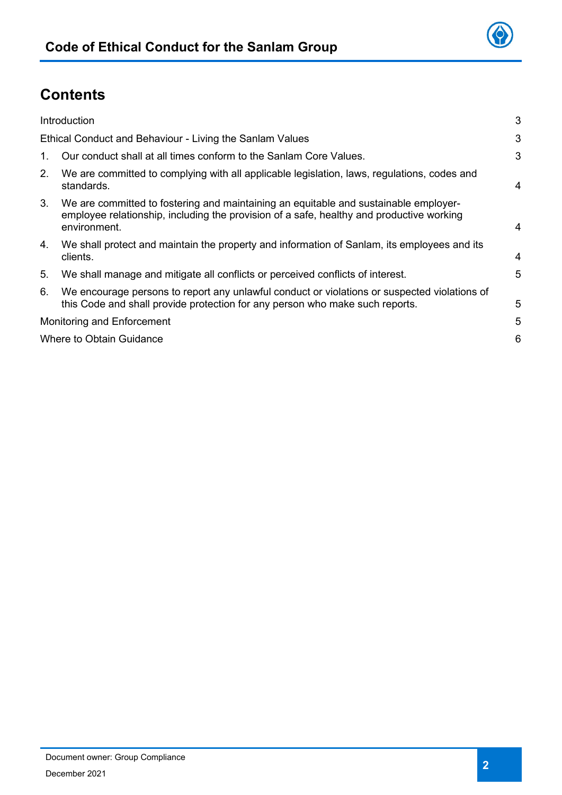## **Contents**

|         | Introduction                                                                                                                                                                                     | 3              |
|---------|--------------------------------------------------------------------------------------------------------------------------------------------------------------------------------------------------|----------------|
|         | Ethical Conduct and Behaviour - Living the Sanlam Values                                                                                                                                         | 3              |
| $1_{-}$ | Our conduct shall at all times conform to the Sanlam Core Values.                                                                                                                                | 3              |
| 2.      | We are committed to complying with all applicable legislation, laws, regulations, codes and<br>standards.                                                                                        | $\overline{4}$ |
| 3.      | We are committed to fostering and maintaining an equitable and sustainable employer-<br>employee relationship, including the provision of a safe, healthy and productive working<br>environment. | $\overline{4}$ |
| 4.      | We shall protect and maintain the property and information of Sanlam, its employees and its<br>clients.                                                                                          | 4              |
| 5.      | We shall manage and mitigate all conflicts or perceived conflicts of interest.                                                                                                                   | 5              |
| 6.      | We encourage persons to report any unlawful conduct or violations or suspected violations of<br>this Code and shall provide protection for any person who make such reports.                     | 5              |
|         | Monitoring and Enforcement                                                                                                                                                                       | 5              |
|         | Where to Obtain Guidance                                                                                                                                                                         | 6              |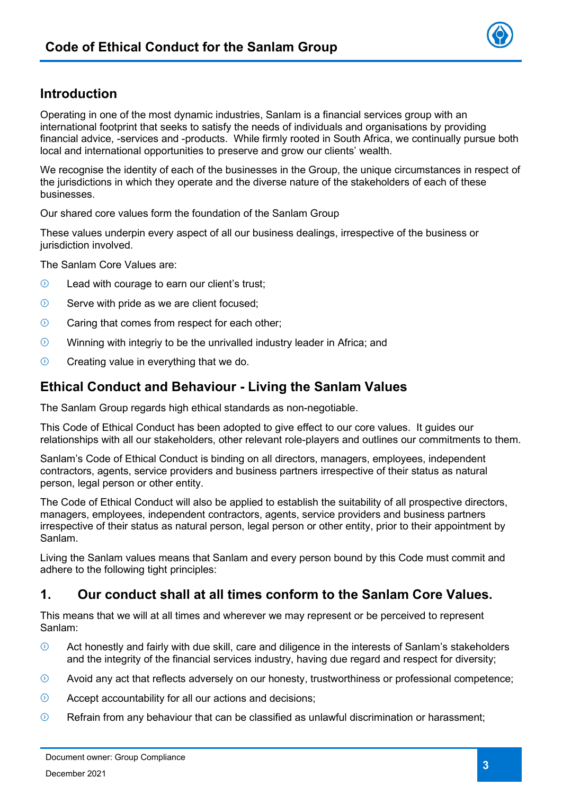## <span id="page-2-0"></span>**Introduction**

Operating in one of the most dynamic industries, Sanlam is a financial services group with an international footprint that seeks to satisfy the needs of individuals and organisations by providing financial advice, -services and -products. While firmly rooted in South Africa, we continually pursue both local and international opportunities to preserve and grow our clients' wealth.

We recognise the identity of each of the businesses in the Group, the unique circumstances in respect of the jurisdictions in which they operate and the diverse nature of the stakeholders of each of these businesses.

Our shared core values form the foundation of the Sanlam Group

These values underpin every aspect of all our business dealings, irrespective of the business or jurisdiction involved.

The Sanlam Core Values are:

- $\odot$ Lead with courage to earn our client's trust;
- $\odot$ Serve with pride as we are client focused;
- $\odot$ Caring that comes from respect for each other;
- $\odot$ Winning with integriy to be the unrivalled industry leader in Africa; and
- $\odot$ Creating value in everything that we do.

#### <span id="page-2-1"></span>**Ethical Conduct and Behaviour - Living the Sanlam Values**

The Sanlam Group regards high ethical standards as non-negotiable.

This Code of Ethical Conduct has been adopted to give effect to our core values. It guides our relationships with all our stakeholders, other relevant role-players and outlines our commitments to them.

Sanlam's Code of Ethical Conduct is binding on all directors, managers, employees, independent contractors, agents, service providers and business partners irrespective of their status as natural person, legal person or other entity.

The Code of Ethical Conduct will also be applied to establish the suitability of all prospective directors, managers, employees, independent contractors, agents, service providers and business partners irrespective of their status as natural person, legal person or other entity, prior to their appointment by Sanlam.

Living the Sanlam values means that Sanlam and every person bound by this Code must commit and adhere to the following tight principles:

#### <span id="page-2-2"></span>**1. Our conduct shall at all times conform to the Sanlam Core Values.**

This means that we will at all times and wherever we may represent or be perceived to represent Sanlam:

- $\odot$ Act honestly and fairly with due skill, care and diligence in the interests of Sanlam's stakeholders and the integrity of the financial services industry, having due regard and respect for diversity;
- $\odot$ Avoid any act that reflects adversely on our honesty, trustworthiness or professional competence;
- $\odot$ Accept accountability for all our actions and decisions;
- $\odot$ Refrain from any behaviour that can be classified as unlawful discrimination or harassment;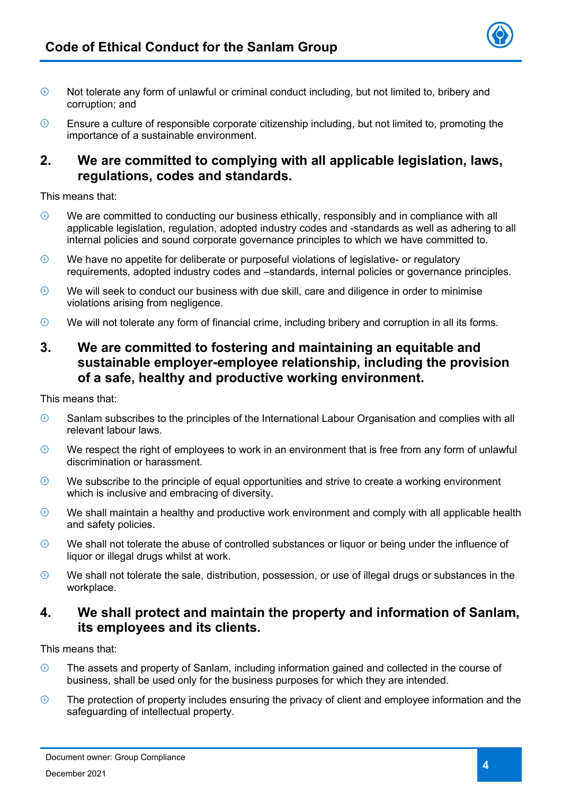

- Not tolerate any form of unlawful or criminal conduct including, but not limited to, bribery and  $\odot$ corruption; and
- $\odot$ Ensure a culture of responsible corporate citizenship including, but not limited to, promoting the importance of a sustainable environment.

#### <span id="page-3-0"></span>**2. We are committed to complying with all applicable legislation, laws, regulations, codes and standards.**

This means that:

- $\Omega$ We are committed to conducting our business ethically, responsibly and in compliance with all applicable legislation, regulation, adopted industry codes and -standards as well as adhering to all internal policies and sound corporate governance principles to which we have committed to.
- $\odot$ We have no appetite for deliberate or purposeful violations of legislative- or regulatory requirements, adopted industry codes and –standards, internal policies or governance principles.
- $\odot$ We will seek to conduct our business with due skill, care and diligence in order to minimise violations arising from negligence.
- $\odot$ We will not tolerate any form of financial crime, including bribery and corruption in all its forms.

#### <span id="page-3-1"></span>**3. We are committed to fostering and maintaining an equitable and sustainable employer-employee relationship, including the provision of a safe, healthy and productive working environment.**

This means that:

- Sanlam subscribes to the principles of the International Labour Organisation and complies with all  $\odot$ relevant labour laws.
- $\odot$ We respect the right of employees to work in an environment that is free from any form of unlawful discrimination or harassment.
- $\odot$ We subscribe to the principle of equal opportunities and strive to create a working environment which is inclusive and embracing of diversity.
- $\odot$ We shall maintain a healthy and productive work environment and comply with all applicable health and safety policies.
- $\odot$ We shall not tolerate the abuse of controlled substances or liquor or being under the influence of liquor or illegal drugs whilst at work.
- $\Omega$ We shall not tolerate the sale, distribution, possession, or use of illegal drugs or substances in the workplace.

#### <span id="page-3-2"></span>**4. We shall protect and maintain the property and information of Sanlam, its employees and its clients.**

This means that:

- $\odot$ The assets and property of Sanlam, including information gained and collected in the course of business, shall be used only for the business purposes for which they are intended.
- $\odot$ The protection of property includes ensuring the privacy of client and employee information and the safeguarding of intellectual property.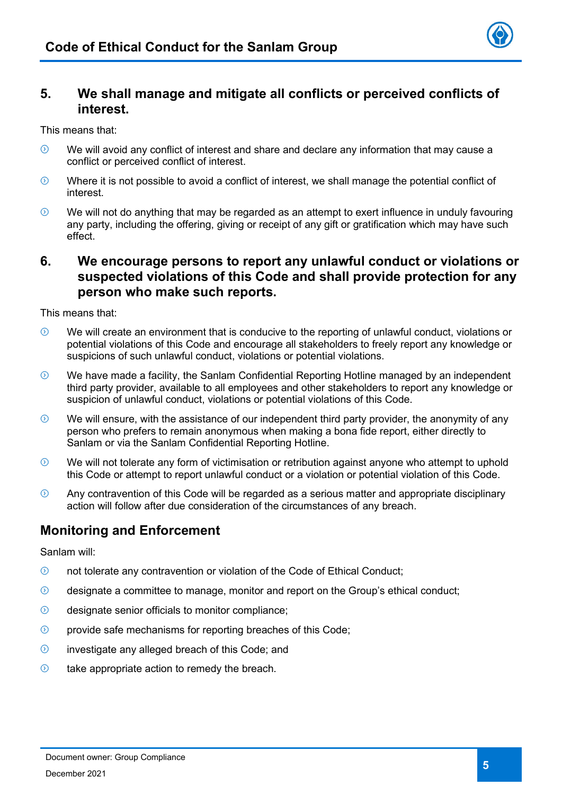

#### <span id="page-4-0"></span>**5. We shall manage and mitigate all conflicts or perceived conflicts of interest.**

This means that:

- $\odot$ We will avoid any conflict of interest and share and declare any information that may cause a conflict or perceived conflict of interest.
- $\odot$ Where it is not possible to avoid a conflict of interest, we shall manage the potential conflict of interest.
- We will not do anything that may be regarded as an attempt to exert influence in unduly favouring  $\odot$ any party, including the offering, giving or receipt of any gift or gratification which may have such effect.

#### <span id="page-4-1"></span>**6. We encourage persons to report any unlawful conduct or violations or suspected violations of this Code and shall provide protection for any person who make such reports.**

This means that:

- $\Omega$ We will create an environment that is conducive to the reporting of unlawful conduct, violations or potential violations of this Code and encourage all stakeholders to freely report any knowledge or suspicions of such unlawful conduct, violations or potential violations.
- $\odot$ We have made a facility, the Sanlam Confidential Reporting Hotline managed by an independent third party provider, available to all employees and other stakeholders to report any knowledge or suspicion of unlawful conduct, violations or potential violations of this Code.
- $\odot$ We will ensure, with the assistance of our independent third party provider, the anonymity of any person who prefers to remain anonymous when making a bona fide report, either directly to Sanlam or via the Sanlam Confidential Reporting Hotline.
- We will not tolerate any form of victimisation or retribution against anyone who attempt to uphold  $\odot$ this Code or attempt to report unlawful conduct or a violation or potential violation of this Code.
- $\odot$ Any contravention of this Code will be regarded as a serious matter and appropriate disciplinary action will follow after due consideration of the circumstances of any breach.

## <span id="page-4-2"></span>**Monitoring and Enforcement**

Sanlam will:

- $\odot$ not tolerate any contravention or violation of the Code of Ethical Conduct;
- $\odot$ designate a committee to manage, monitor and report on the Group's ethical conduct;
- $\odot$ designate senior officials to monitor compliance;
- $\odot$ provide safe mechanisms for reporting breaches of this Code;
- $\odot$ investigate any alleged breach of this Code; and
- <span id="page-4-3"></span> $\odot$ take appropriate action to remedy the breach.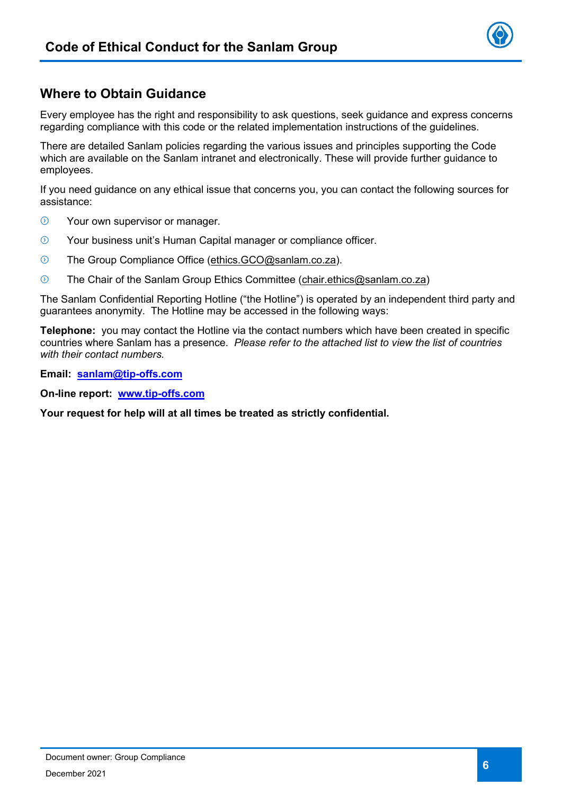

## **Where to Obtain Guidance**

Every employee has the right and responsibility to ask questions, seek guidance and express concerns regarding compliance with this code or the related implementation instructions of the guidelines.

There are detailed Sanlam policies regarding the various issues and principles supporting the Code which are available on the Sanlam intranet and electronically. These will provide further guidance to employees.

If you need guidance on any ethical issue that concerns you, you can contact the following sources for assistance:

- $\odot$ Your own supervisor or manager.
- $\odot$ Your business unit's Human Capital manager or compliance officer.
- $\odot$ The Group Compliance Office (ethics.GCO@sanlam.co.za).
- $\Omega$ The Chair of the Sanlam Group Ethics Committee (chair.ethics@sanlam.co.za)

The Sanlam Confidential Reporting Hotline ("the Hotline") is operated by an independent third party and guarantees anonymity. The Hotline may be accessed in the following ways:

**Telephone:** you may contact the Hotline via the contact numbers which have been created in specific countries where Sanlam has a presence. *Please refer to the attached list to view the list of countries with their contact numbers.*

**Email: [sanlam@tip-offs.com](mailto:sanlam@tip-offs.com)**

**On-line report: [www.tip-offs.com](http://www.tip-offs.com/)**

**Your request for help will at all times be treated as strictly confidential.**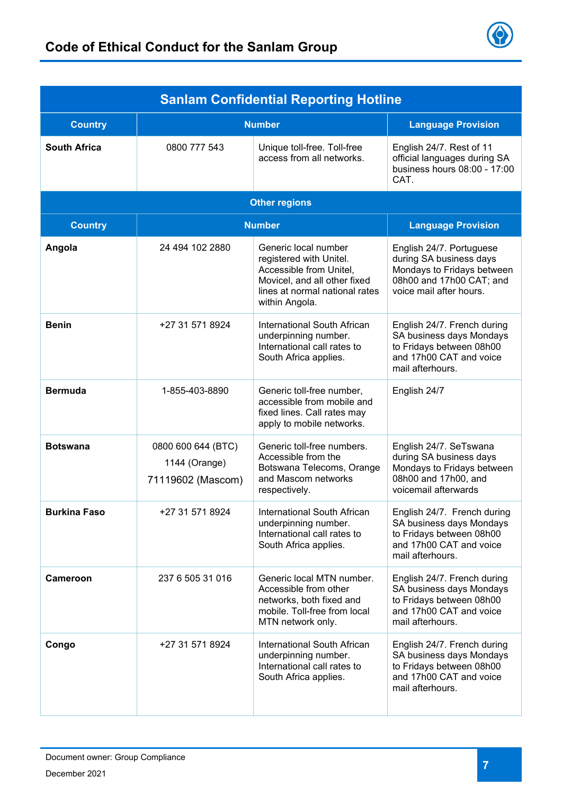

| <b>Sanlam Confidential Reporting Hotline</b> |                                                          |                                                                                                                                                                |                                                                                                                                          |  |  |
|----------------------------------------------|----------------------------------------------------------|----------------------------------------------------------------------------------------------------------------------------------------------------------------|------------------------------------------------------------------------------------------------------------------------------------------|--|--|
| <b>Country</b>                               | <b>Number</b>                                            |                                                                                                                                                                | <b>Language Provision</b>                                                                                                                |  |  |
| <b>South Africa</b>                          | 0800 777 543                                             | Unique toll-free. Toll-free<br>access from all networks.                                                                                                       | English 24/7. Rest of 11<br>official languages during SA<br>business hours 08:00 - 17:00<br>CAT.                                         |  |  |
|                                              | <b>Other regions</b>                                     |                                                                                                                                                                |                                                                                                                                          |  |  |
| <b>Country</b>                               | <b>Number</b>                                            | <b>Language Provision</b>                                                                                                                                      |                                                                                                                                          |  |  |
| Angola                                       | 24 494 102 2880                                          | Generic local number<br>registered with Unitel.<br>Accessible from Unitel,<br>Movicel, and all other fixed<br>lines at normal national rates<br>within Angola. | English 24/7. Portuguese<br>during SA business days<br>Mondays to Fridays between<br>08h00 and 17h00 CAT; and<br>voice mail after hours. |  |  |
| <b>Benin</b>                                 | +27 31 571 8924                                          | International South African<br>underpinning number.<br>International call rates to<br>South Africa applies.                                                    | English 24/7. French during<br>SA business days Mondays<br>to Fridays between 08h00<br>and 17h00 CAT and voice<br>mail afterhours.       |  |  |
| <b>Bermuda</b>                               | 1-855-403-8890                                           | Generic toll-free number,<br>accessible from mobile and<br>fixed lines. Call rates may<br>apply to mobile networks.                                            | English 24/7                                                                                                                             |  |  |
| <b>Botswana</b>                              | 0800 600 644 (BTC)<br>1144 (Orange)<br>71119602 (Mascom) | Generic toll-free numbers.<br>Accessible from the<br>Botswana Telecoms, Orange<br>and Mascom networks<br>respectively.                                         | English 24/7. SeTswana<br>during SA business days<br>Mondays to Fridays between<br>08h00 and 17h00, and<br>voicemail afterwards          |  |  |
| <b>Burkina Faso</b>                          | +27 31 571 8924                                          | International South African<br>underpinning number.<br>International call rates to<br>South Africa applies.                                                    | English 24/7. French during<br>SA business days Mondays<br>to Fridays between 08h00<br>and 17h00 CAT and voice<br>mail afterhours.       |  |  |
| <b>Cameroon</b>                              | 237 6 505 31 016                                         | Generic local MTN number.<br>Accessible from other<br>networks, both fixed and<br>mobile. Toll-free from local<br>MTN network only.                            | English 24/7. French during<br>SA business days Mondays<br>to Fridays between 08h00<br>and 17h00 CAT and voice<br>mail afterhours.       |  |  |
| Congo                                        | +27 31 571 8924                                          | International South African<br>underpinning number.<br>International call rates to<br>South Africa applies.                                                    | English 24/7. French during<br>SA business days Mondays<br>to Fridays between 08h00<br>and 17h00 CAT and voice<br>mail afterhours.       |  |  |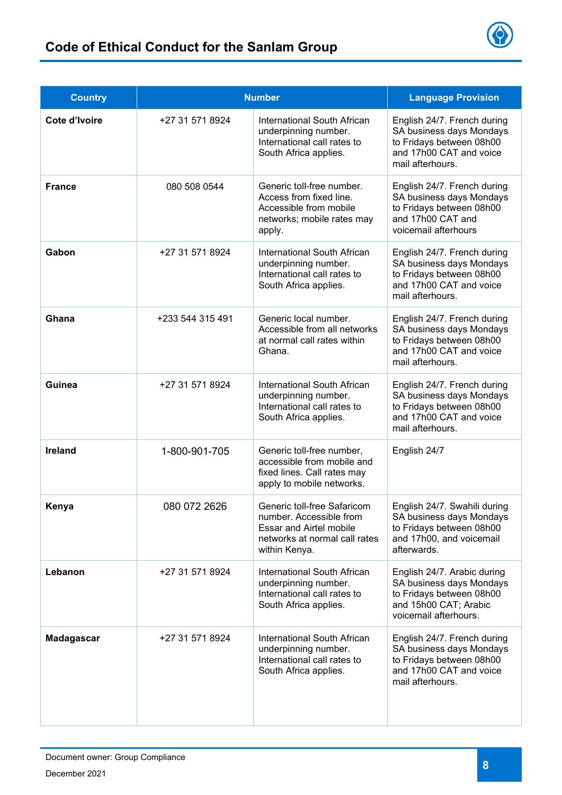

| <b>Country</b>    | <b>Number</b>    |                                                                                                                                     | <b>Language Provision</b>                                                                                                             |
|-------------------|------------------|-------------------------------------------------------------------------------------------------------------------------------------|---------------------------------------------------------------------------------------------------------------------------------------|
| Cote d'Ivoire     | +27 31 571 8924  | <b>International South African</b><br>underpinning number.<br>International call rates to<br>South Africa applies.                  | English 24/7. French during<br>SA business days Mondays<br>to Fridays between 08h00<br>and 17h00 CAT and voice<br>mail afterhours.    |
| <b>France</b>     | 080 508 0544     | Generic toll-free number.<br>Access from fixed line.<br>Accessible from mobile<br>networks; mobile rates may<br>apply.              | English 24/7. French during<br>SA business days Mondays<br>to Fridays between 08h00<br>and 17h00 CAT and<br>voicemail afterhours      |
| Gabon             | +27 31 571 8924  | International South African<br>underpinning number.<br>International call rates to<br>South Africa applies.                         | English 24/7. French during<br>SA business days Mondays<br>to Fridays between 08h00<br>and 17h00 CAT and voice<br>mail afterhours.    |
| Ghana             | +233 544 315 491 | Generic local number.<br>Accessible from all networks<br>at normal call rates within<br>Ghana.                                      | English 24/7. French during<br>SA business days Mondays<br>to Fridays between 08h00<br>and 17h00 CAT and voice<br>mail afterhours.    |
| Guinea            | +27 31 571 8924  | International South African<br>underpinning number.<br>International call rates to<br>South Africa applies.                         | English 24/7. French during<br>SA business days Mondays<br>to Fridays between 08h00<br>and 17h00 CAT and voice<br>mail afterhours.    |
| <b>Ireland</b>    | 1-800-901-705    | Generic toll-free number,<br>accessible from mobile and<br>fixed lines. Call rates may<br>apply to mobile networks.                 | English 24/7                                                                                                                          |
| Kenya             | 080 072 2626     | Generic toll-free Safaricom<br>number. Accessible from<br>Essar and Airtel mobile<br>networks at normal call rates<br>within Kenya. | English 24/7. Swahili during<br>SA business days Mondays<br>to Fridays between 08h00<br>and 17h00, and voicemail<br>afterwards.       |
| Lebanon           | +27 31 571 8924  | International South African<br>underpinning number.<br>International call rates to<br>South Africa applies.                         | English 24/7. Arabic during<br>SA business days Mondays<br>to Fridays between 08h00<br>and 15h00 CAT; Arabic<br>voicemail afterhours. |
| <b>Madagascar</b> | +27 31 571 8924  | International South African<br>underpinning number.<br>International call rates to<br>South Africa applies.                         | English 24/7. French during<br>SA business days Mondays<br>to Fridays between 08h00<br>and 17h00 CAT and voice<br>mail afterhours.    |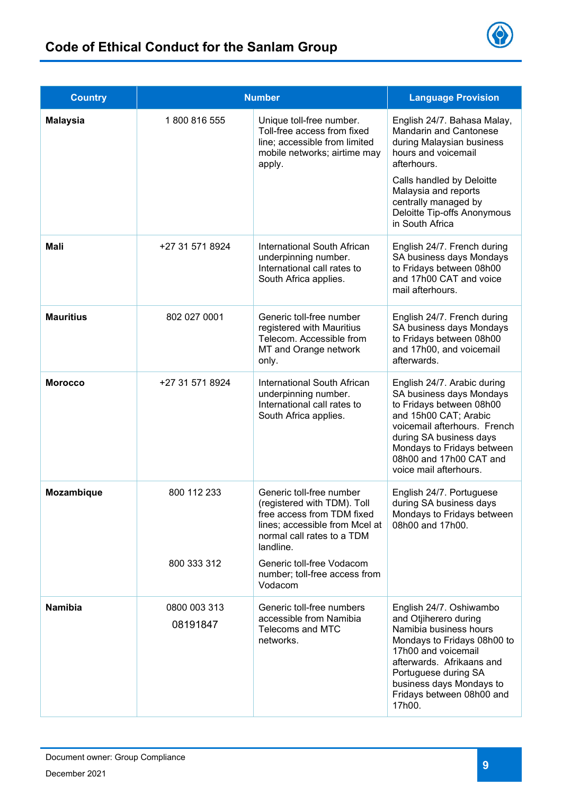



| <b>Country</b>   | <b>Number</b>            |                                                                                                                                                                    | <b>Language Provision</b>                                                                                                                                                                                                                                      |
|------------------|--------------------------|--------------------------------------------------------------------------------------------------------------------------------------------------------------------|----------------------------------------------------------------------------------------------------------------------------------------------------------------------------------------------------------------------------------------------------------------|
| <b>Malaysia</b>  | 1800816555               | Unique toll-free number.<br>Toll-free access from fixed<br>line; accessible from limited<br>mobile networks; airtime may<br>apply.                                 | English 24/7. Bahasa Malay,<br><b>Mandarin and Cantonese</b><br>during Malaysian business<br>hours and voicemail<br>afterhours.<br>Calls handled by Deloitte<br>Malaysia and reports<br>centrally managed by<br>Deloitte Tip-offs Anonymous<br>in South Africa |
| <b>Mali</b>      | +27 31 571 8924          | International South African<br>underpinning number.<br>International call rates to<br>South Africa applies.                                                        | English 24/7. French during<br>SA business days Mondays<br>to Fridays between 08h00<br>and 17h00 CAT and voice<br>mail afterhours.                                                                                                                             |
| <b>Mauritius</b> | 802 027 0001             | Generic toll-free number<br>registered with Mauritius<br>Telecom. Accessible from<br>MT and Orange network<br>only.                                                | English 24/7. French during<br>SA business days Mondays<br>to Fridays between 08h00<br>and 17h00, and voicemail<br>afterwards.                                                                                                                                 |
| <b>Morocco</b>   | +27 31 571 8924          | International South African<br>underpinning number.<br>International call rates to<br>South Africa applies.                                                        | English 24/7. Arabic during<br>SA business days Mondays<br>to Fridays between 08h00<br>and 15h00 CAT; Arabic<br>voicemail afterhours. French<br>during SA business days<br>Mondays to Fridays between<br>08h00 and 17h00 CAT and<br>voice mail afterhours.     |
| Mozambique       | 800 112 233              | Generic toll-free number<br>(registered with TDM). Toll<br>free access from TDM fixed<br>lines; accessible from Mcel at<br>normal call rates to a TDM<br>landline. | English 24/7. Portuguese<br>during SA business days<br>Mondays to Fridays between<br>08h00 and 17h00.                                                                                                                                                          |
|                  | 800 333 312              | Generic toll-free Vodacom<br>number; toll-free access from<br>Vodacom                                                                                              |                                                                                                                                                                                                                                                                |
| <b>Namibia</b>   | 0800 003 313<br>08191847 | Generic toll-free numbers<br>accessible from Namibia<br>Telecoms and MTC<br>networks.                                                                              | English 24/7. Oshiwambo<br>and Otjiherero during<br>Namibia business hours<br>Mondays to Fridays 08h00 to<br>17h00 and voicemail<br>afterwards. Afrikaans and<br>Portuguese during SA<br>business days Mondays to<br>Fridays between 08h00 and<br>17h00.       |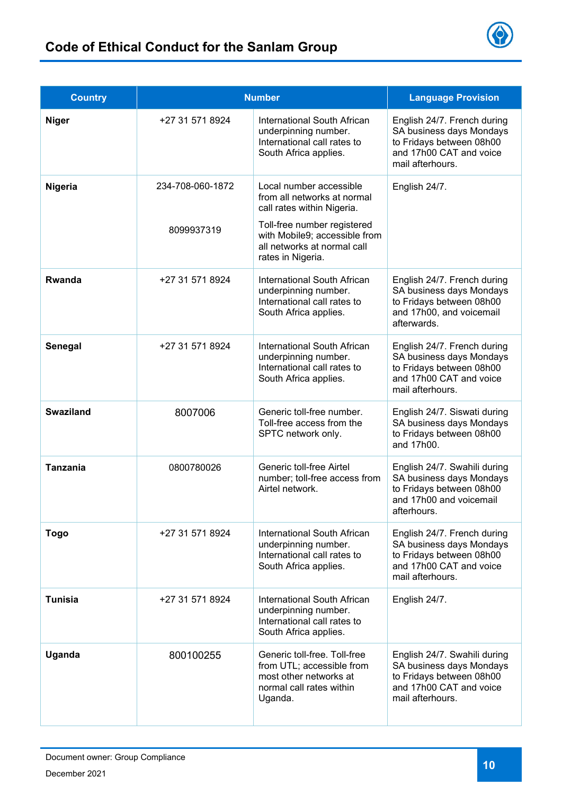

| <b>Country</b>   | <b>Number</b>                  |                                                                                                                                                      | <b>Language Provision</b>                                                                                                           |
|------------------|--------------------------------|------------------------------------------------------------------------------------------------------------------------------------------------------|-------------------------------------------------------------------------------------------------------------------------------------|
| <b>Niger</b>     | +27 31 571 8924                | International South African<br>underpinning number.<br>International call rates to<br>South Africa applies.                                          | English 24/7. French during<br>SA business days Mondays<br>to Fridays between 08h00<br>and 17h00 CAT and voice<br>mail afterhours.  |
| Nigeria          | 234-708-060-1872<br>8099937319 | Local number accessible<br>from all networks at normal<br>call rates within Nigeria.<br>Toll-free number registered<br>with Mobile9; accessible from | English 24/7.                                                                                                                       |
|                  |                                | all networks at normal call<br>rates in Nigeria.                                                                                                     |                                                                                                                                     |
| Rwanda           | +27 31 571 8924                | International South African<br>underpinning number.<br>International call rates to<br>South Africa applies.                                          | English 24/7. French during<br>SA business days Mondays<br>to Fridays between 08h00<br>and 17h00, and voicemail<br>afterwards.      |
| Senegal          | +27 31 571 8924                | International South African<br>underpinning number.<br>International call rates to<br>South Africa applies.                                          | English 24/7. French during<br>SA business days Mondays<br>to Fridays between 08h00<br>and 17h00 CAT and voice<br>mail afterhours.  |
| <b>Swaziland</b> | 8007006                        | Generic toll-free number.<br>Toll-free access from the<br>SPTC network only.                                                                         | English 24/7. Siswati during<br>SA business days Mondays<br>to Fridays between 08h00<br>and 17h00.                                  |
| <b>Tanzania</b>  | 0800780026                     | Generic toll-free Airtel<br>number; toll-free access from<br>Airtel network.                                                                         | English 24/7. Swahili during<br>SA business days Mondays<br>to Fridays between 08h00<br>and 17h00 and voicemail<br>afterhours.      |
| <b>Togo</b>      | +27 31 571 8924                | International South African<br>underpinning number.<br>International call rates to<br>South Africa applies.                                          | English 24/7. French during<br>SA business days Mondays<br>to Fridays between 08h00<br>and 17h00 CAT and voice<br>mail afterhours.  |
| <b>Tunisia</b>   | +27 31 571 8924                | International South African<br>underpinning number.<br>International call rates to<br>South Africa applies.                                          | English 24/7.                                                                                                                       |
| Uganda           | 800100255                      | Generic toll-free. Toll-free<br>from UTL; accessible from<br>most other networks at<br>normal call rates within<br>Uganda.                           | English 24/7. Swahili during<br>SA business days Mondays<br>to Fridays between 08h00<br>and 17h00 CAT and voice<br>mail afterhours. |